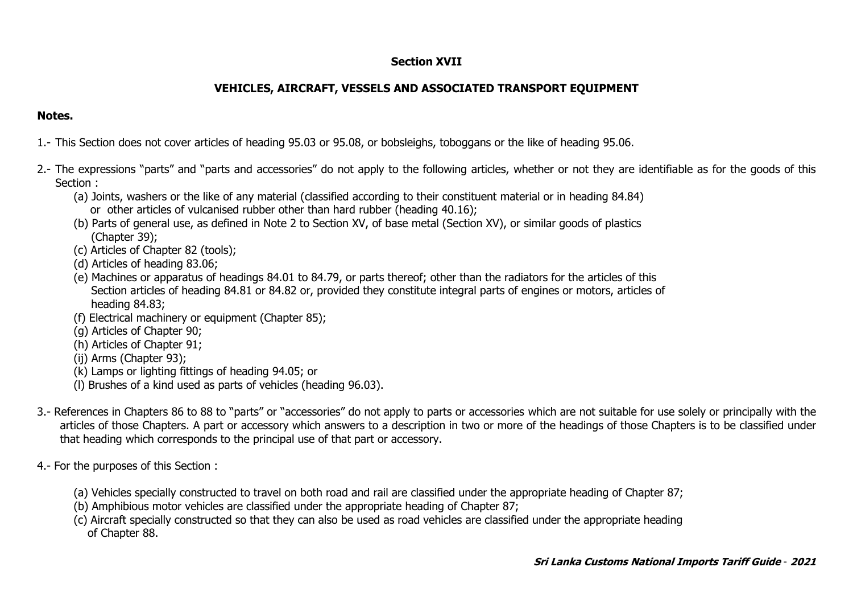## **Section XVII**

## **VEHICLES, AIRCRAFT, VESSELS AND ASSOCIATED TRANSPORT EQUIPMENT**

## **Notes.**

1.- This Section does not cover articles of heading 95.03 or 95.08, or bobsleighs, toboggans or the like of heading 95.06.

- 2.- The expressions "parts" and "parts and accessories" do not apply to the following articles, whether or not they are identifiable as for the goods of this Section :
	- (a) Joints, washers or the like of any material (classified according to their constituent material or in heading 84.84) or other articles of vulcanised rubber other than hard rubber (heading 40.16);
	- (b) Parts of general use, as defined in Note 2 to Section XV, of base metal (Section XV), or similar goods of plastics (Chapter 39);
	- (c) Articles of Chapter 82 (tools);
	- (d) Articles of heading 83.06;
	- (e) Machines or apparatus of headings 84.01 to 84.79, or parts thereof; other than the radiators for the articles of this Section articles of heading 84.81 or 84.82 or, provided they constitute integral parts of engines or motors, articles of heading 84.83;
	- (f) Electrical machinery or equipment (Chapter 85);
	- (g) Articles of Chapter 90;
	- (h) Articles of Chapter 91;
	- (ij) Arms (Chapter 93);
	- (k) Lamps or lighting fittings of heading 94.05; or
	- (l) Brushes of a kind used as parts of vehicles (heading 96.03).
- 3.- References in Chapters 86 to 88 to "parts" or "accessories" do not apply to parts or accessories which are not suitable for use solely or principally with the articles of those Chapters. A part or accessory which answers to a description in two or more of the headings of those Chapters is to be classified under that heading which corresponds to the principal use of that part or accessory.
- 4.- For the purposes of this Section :
	- (a) Vehicles specially constructed to travel on both road and rail are classified under the appropriate heading of Chapter 87;
	- (b) Amphibious motor vehicles are classified under the appropriate heading of Chapter 87;
	- (c) Aircraft specially constructed so that they can also be used as road vehicles are classified under the appropriate heading of Chapter 88.